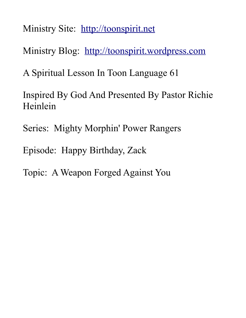Ministry Site: [http://toonspirit.net](http://toonspirit.net/)

Ministry Blog: [http://toonspirit.wordpress.com](http://toonspirit.wordpress.com/)

A Spiritual Lesson In Toon Language 61

Inspired By God And Presented By Pastor Richie Heinlein

Series: Mighty Morphin' Power Rangers

Episode: Happy Birthday, Zack

Topic: A Weapon Forged Against You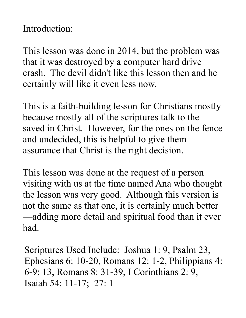Introduction:

This lesson was done in 2014, but the problem was that it was destroyed by a computer hard drive crash. The devil didn't like this lesson then and he certainly will like it even less now.

This is a faith-building lesson for Christians mostly because mostly all of the scriptures talk to the saved in Christ. However, for the ones on the fence and undecided, this is helpful to give them assurance that Christ is the right decision.

This lesson was done at the request of a person visiting with us at the time named Ana who thought the lesson was very good. Although this version is not the same as that one, it is certainly much better —adding more detail and spiritual food than it ever had.

Scriptures Used Include: Joshua 1: 9, Psalm 23, Ephesians 6: 10-20, Romans 12: 1-2, Philippians 4: 6-9; 13, Romans 8: 31-39, I Corinthians 2: 9, Isaiah 54: 11-17; 27: 1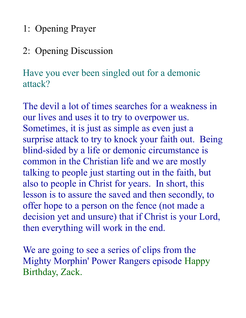1: Opening Prayer

# 2: Opening Discussion

Have you ever been singled out for a demonic attack?

The devil a lot of times searches for a weakness in our lives and uses it to try to overpower us. Sometimes, it is just as simple as even just a surprise attack to try to knock your faith out. Being blind-sided by a life or demonic circumstance is common in the Christian life and we are mostly talking to people just starting out in the faith, but also to people in Christ for years. In short, this lesson is to assure the saved and then secondly, to offer hope to a person on the fence (not made a decision yet and unsure) that if Christ is your Lord, then everything will work in the end.

We are going to see a series of clips from the Mighty Morphin' Power Rangers episode Happy Birthday, Zack.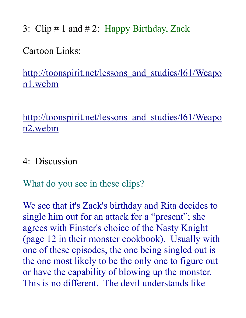3: Clip # 1 and # 2: Happy Birthday, Zack

Cartoon Links:

http://toonspirit.net/lessons and studies/l61/Weapo [n1.webm](http://toonspirit.net/lessons_and_studies/l61/Weapon1.webm)

http://toonspirit.net/lessons and studies/l61/Weapo [n2.webm](http://toonspirit.net/lessons_and_studies/l61/Weapon2.webm)

4: Discussion

What do you see in these clips?

We see that it's Zack's birthday and Rita decides to single him out for an attack for a "present"; she agrees with Finster's choice of the Nasty Knight (page 12 in their monster cookbook). Usually with one of these episodes, the one being singled out is the one most likely to be the only one to figure out or have the capability of blowing up the monster. This is no different. The devil understands like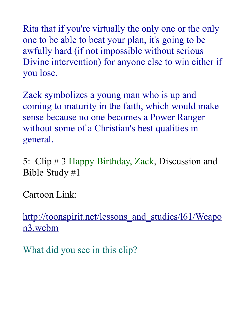Rita that if you're virtually the only one or the only one to be able to beat your plan, it's going to be awfully hard (if not impossible without serious Divine intervention) for anyone else to win either if you lose.

Zack symbolizes a young man who is up and coming to maturity in the faith, which would make sense because no one becomes a Power Ranger without some of a Christian's best qualities in general.

5: Clip # 3 Happy Birthday, Zack, Discussion and Bible Study #1

Cartoon Link:

http://toonspirit.net/lessons and studies/l61/Weapo [n3.webm](http://toonspirit.net/lessons_and_studies/l61/Weapon3.webm)

What did you see in this clip?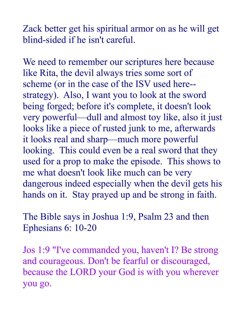Zack better get his spiritual armor on as he will get blind-sided if he isn't careful.

We need to remember our scriptures here because like Rita, the devil always tries some sort of scheme (or in the case of the ISV used here- strategy). Also, I want you to look at the sword being forged; before it's complete, it doesn't look very powerful—dull and almost toy like, also it just looks like a piece of rusted junk to me, afterwards it looks real and sharp—much more powerful looking. This could even be a real sword that they used for a prop to make the episode. This shows to me what doesn't look like much can be very dangerous indeed especially when the devil gets his hands on it. Stay prayed up and be strong in faith.

The Bible says in Joshua 1:9, Psalm 23 and then Ephesians 6: 10-20

Jos 1:9 "I've commanded you, haven't I? Be strong and courageous. Don't be fearful or discouraged, because the LORD your God is with you wherever you go.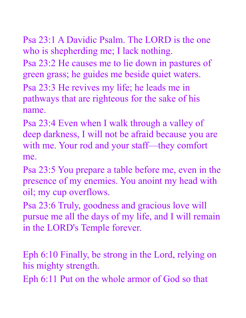Psa 23:1 A Davidic Psalm. The LORD is the one who is shepherding me; I lack nothing.

Psa 23:2 He causes me to lie down in pastures of green grass; he guides me beside quiet waters.

Psa 23:3 He revives my life; he leads me in pathways that are righteous for the sake of his name.

Psa 23:4 Even when I walk through a valley of deep darkness, I will not be afraid because you are with me. Your rod and your staff—they comfort me.

Psa 23:5 You prepare a table before me, even in the presence of my enemies. You anoint my head with oil; my cup overflows.

Psa 23:6 Truly, goodness and gracious love will pursue me all the days of my life, and I will remain in the LORD's Temple forever.

Eph 6:10 Finally, be strong in the Lord, relying on his mighty strength.

Eph 6:11 Put on the whole armor of God so that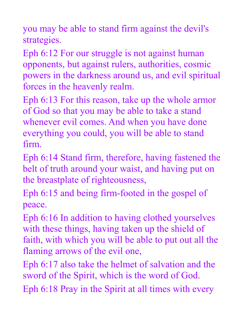you may be able to stand firm against the devil's strategies.

Eph 6:12 For our struggle is not against human opponents, but against rulers, authorities, cosmic powers in the darkness around us, and evil spiritual forces in the heavenly realm.

Eph 6:13 For this reason, take up the whole armor of God so that you may be able to take a stand whenever evil comes. And when you have done everything you could, you will be able to stand firm.

Eph 6:14 Stand firm, therefore, having fastened the belt of truth around your waist, and having put on the breastplate of righteousness,

Eph 6:15 and being firm-footed in the gospel of peace.

Eph 6:16 In addition to having clothed yourselves with these things, having taken up the shield of faith, with which you will be able to put out all the flaming arrows of the evil one,

Eph 6:17 also take the helmet of salvation and the sword of the Spirit, which is the word of God. Eph 6:18 Pray in the Spirit at all times with every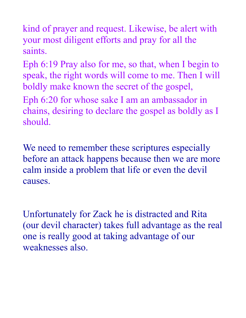kind of prayer and request. Likewise, be alert with your most diligent efforts and pray for all the saints.

Eph 6:19 Pray also for me, so that, when I begin to speak, the right words will come to me. Then I will boldly make known the secret of the gospel,

Eph 6:20 for whose sake I am an ambassador in chains, desiring to declare the gospel as boldly as I should.

We need to remember these scriptures especially before an attack happens because then we are more calm inside a problem that life or even the devil causes.

Unfortunately for Zack he is distracted and Rita (our devil character) takes full advantage as the real one is really good at taking advantage of our weaknesses also.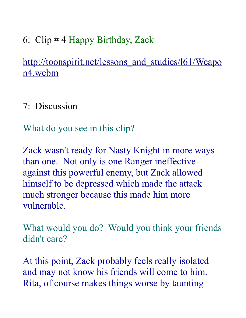6: Clip # 4 Happy Birthday, Zack

http://toonspirit.net/lessons and studies/161/Weapo [n4.webm](http://toonspirit.net/lessons_and_studies/l61/Weapon4.webm) 

7: Discussion

What do you see in this clip?

Zack wasn't ready for Nasty Knight in more ways than one. Not only is one Ranger ineffective against this powerful enemy, but Zack allowed himself to be depressed which made the attack much stronger because this made him more vulnerable.

What would you do? Would you think your friends didn't care?

At this point, Zack probably feels really isolated and may not know his friends will come to him. Rita, of course makes things worse by taunting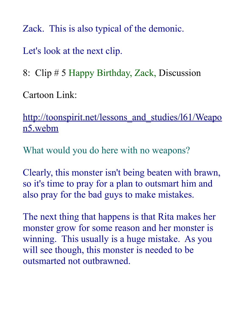Zack. This is also typical of the demonic.

Let's look at the next clip.

8: Clip # 5 Happy Birthday, Zack, Discussion

Cartoon Link:

http://toonspirit.net/lessons and studies/l61/Weapo [n5.webm](http://toonspirit.net/lessons_and_studies/l61/Weapon5.webm)

What would you do here with no weapons?

Clearly, this monster isn't being beaten with brawn, so it's time to pray for a plan to outsmart him and also pray for the bad guys to make mistakes.

The next thing that happens is that Rita makes her monster grow for some reason and her monster is winning. This usually is a huge mistake. As you will see though, this monster is needed to be outsmarted not outbrawned.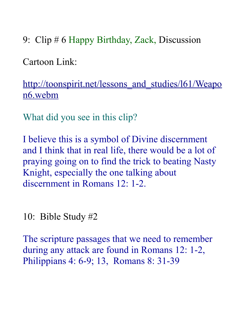9: Clip # 6 Happy Birthday, Zack, Discussion

Cartoon Link:

http://toonspirit.net/lessons and studies/l61/Weapo [n6.webm](http://toonspirit.net/lessons_and_studies/l61/Weapon6.webm)

What did you see in this clip?

I believe this is a symbol of Divine discernment and I think that in real life, there would be a lot of praying going on to find the trick to beating Nasty Knight, especially the one talking about discernment in Romans 12: 1-2.

10: Bible Study #2

The scripture passages that we need to remember during any attack are found in Romans 12: 1-2, Philippians 4: 6-9; 13, Romans 8: 31-39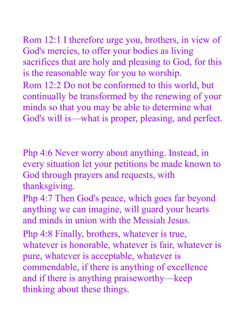Rom 12:1 I therefore urge you, brothers, in view of God's mercies, to offer your bodies as living sacrifices that are holy and pleasing to God, for this is the reasonable way for you to worship.

Rom 12:2 Do not be conformed to this world, but continually be transformed by the renewing of your minds so that you may be able to determine what God's will is—what is proper, pleasing, and perfect.

Php 4:6 Never worry about anything. Instead, in every situation let your petitions be made known to God through prayers and requests, with thanksgiving.

Php 4:7 Then God's peace, which goes far beyond anything we can imagine, will guard your hearts and minds in union with the Messiah Jesus.

Php 4:8 Finally, brothers, whatever is true, whatever is honorable, whatever is fair, whatever is pure, whatever is acceptable, whatever is commendable, if there is anything of excellence and if there is anything praiseworthy—keep thinking about these things.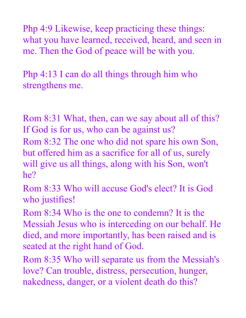Php 4:9 Likewise, keep practicing these things: what you have learned, received, heard, and seen in me. Then the God of peace will be with you.

Php 4:13 I can do all things through him who strengthens me.

Rom 8:31 What, then, can we say about all of this? If God is for us, who can be against us?

Rom 8:32 The one who did not spare his own Son, but offered him as a sacrifice for all of us, surely will give us all things, along with his Son, won't he?

Rom 8:33 Who will accuse God's elect? It is God who justifies!

Rom 8:34 Who is the one to condemn? It is the Messiah Jesus who is interceding on our behalf. He died, and more importantly, has been raised and is seated at the right hand of God.

Rom 8:35 Who will separate us from the Messiah's love? Can trouble, distress, persecution, hunger, nakedness, danger, or a violent death do this?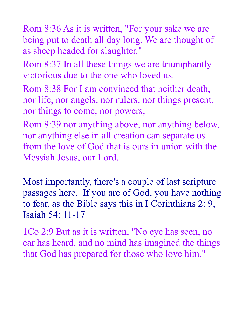Rom 8:36 As it is written, "For your sake we are being put to death all day long. We are thought of as sheep headed for slaughter."

Rom 8:37 In all these things we are triumphantly victorious due to the one who loved us.

Rom 8:38 For I am convinced that neither death, nor life, nor angels, nor rulers, nor things present, nor things to come, nor powers,

Rom 8:39 nor anything above, nor anything below, nor anything else in all creation can separate us from the love of God that is ours in union with the Messiah Jesus, our Lord.

Most importantly, there's a couple of last scripture passages here. If you are of God, you have nothing to fear, as the Bible says this in I Corinthians 2: 9, Isaiah 54: 11-17

1Co 2:9 But as it is written, "No eye has seen, no ear has heard, and no mind has imagined the things that God has prepared for those who love him."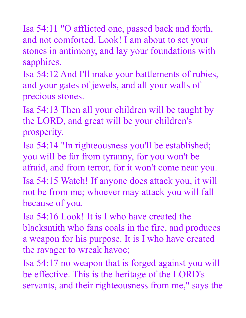Isa 54:11 "O afflicted one, passed back and forth, and not comforted, Look! I am about to set your stones in antimony, and lay your foundations with sapphires.

Isa 54:12 And I'll make your battlements of rubies, and your gates of jewels, and all your walls of precious stones.

Isa 54:13 Then all your children will be taught by the LORD, and great will be your children's prosperity.

Isa 54:14 "In righteousness you'll be established; you will be far from tyranny, for you won't be afraid, and from terror, for it won't come near you.

Isa 54:15 Watch! If anyone does attack you, it will not be from me; whoever may attack you will fall because of you.

Isa 54:16 Look! It is I who have created the blacksmith who fans coals in the fire, and produces a weapon for his purpose. It is I who have created the ravager to wreak havoc;

Isa 54:17 no weapon that is forged against you will be effective. This is the heritage of the LORD's servants, and their righteousness from me," says the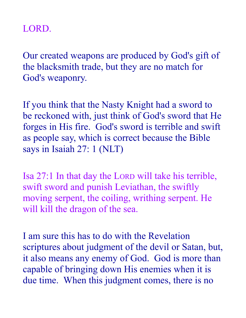## LORD.

Our created weapons are produced by God's gift of the blacksmith trade, but they are no match for God's weaponry.

If you think that the Nasty Knight had a sword to be reckoned with, just think of God's sword that He forges in His fire. God's sword is terrible and swift as people say, which is correct because the Bible says in Isaiah 27: 1 (NLT)

Isa 27:1 In that day the LORD will take his terrible, swift sword and punish Leviathan, the swiftly moving serpent, the coiling, writhing serpent. He will kill the dragon of the sea.

I am sure this has to do with the Revelation scriptures about judgment of the devil or Satan, but, it also means any enemy of God. God is more than capable of bringing down His enemies when it is due time. When this judgment comes, there is no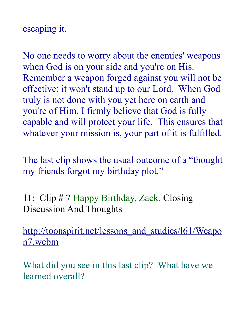### escaping it.

No one needs to worry about the enemies' weapons when God is on your side and you're on His. Remember a weapon forged against you will not be effective; it won't stand up to our Lord. When God truly is not done with you yet here on earth and you're of Him, I firmly believe that God is fully capable and will protect your life. This ensures that whatever your mission is, your part of it is fulfilled.

The last clip shows the usual outcome of a "thought my friends forgot my birthday plot."

11: Clip # 7 Happy Birthday, Zack, Closing Discussion And Thoughts

http://toonspirit.net/lessons and studies/l61/Weapo [n7.webm](http://toonspirit.net/lessons_and_studies/l61/Weapon7.webm)

What did you see in this last clip? What have we learned overall?